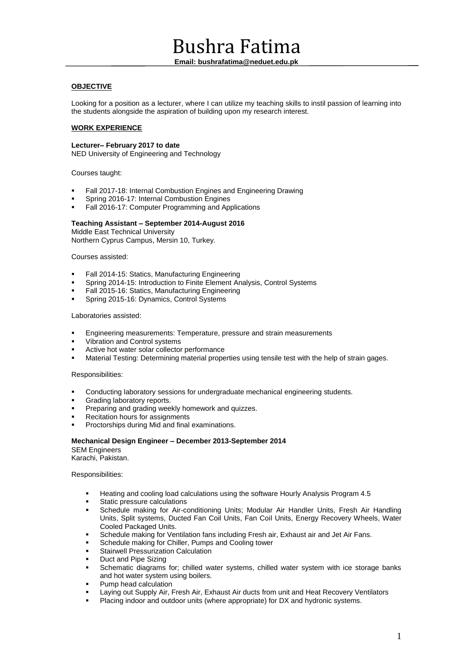# Bushra Fatima

**Email: bushrafatima@neduet.edu.pk**

# **OBJECTIVE**

Looking for a position as a lecturer, where I can utilize my teaching skills to instil passion of learning into the students alongside the aspiration of building upon my research interest.

# **WORK EXPERIENCE**

#### **Lecturer– February 2017 to date**

NED University of Engineering and Technology

Courses taught:

- Fall 2017-18: Internal Combustion Engines and Engineering Drawing
- Spring 2016-17: Internal Combustion Engines
- Fall 2016-17: Computer Programming and Applications

# **Teaching Assistant – September 2014-August 2016**

Middle East Technical University Northern Cyprus Campus, Mersin 10, Turkey.

#### Courses assisted:

- Fall 2014-15: Statics, Manufacturing Engineering
- Spring 2014-15: Introduction to Finite Element Analysis, Control Systems
- Fall 2015-16: Statics, Manufacturing Engineering<br>Spring 2015-16: Dynamics, Control Systems
- Spring 2015-16: Dynamics, Control Systems

#### Laboratories assisted:

- Engineering measurements: Temperature, pressure and strain measurements
- Vibration and Control systems
- Active hot water solar collector performance
- Material Testing: Determining material properties using tensile test with the help of strain gages.

#### Responsibilities:

- Conducting laboratory sessions for undergraduate mechanical engineering students.
- Grading laboratory reports.
- Preparing and grading weekly homework and quizzes.
- Recitation hours for assignments
- Proctorships during Mid and final examinations.

# **Mechanical Design Engineer – December 2013-September 2014**

SEM Engineers Karachi, Pakistan.

#### Responsibilities:

- Heating and cooling load calculations using the software Hourly Analysis Program 4.5
- Static pressure calculations
- Schedule making for Air-conditioning Units; Modular Air Handler Units, Fresh Air Handling Units, Split systems, Ducted Fan Coil Units, Fan Coil Units, Energy Recovery Wheels, Water Cooled Packaged Units.
- Schedule making for Ventilation fans including Fresh air, Exhaust air and Jet Air Fans.
- Schedule making for Chiller, Pumps and Cooling tower
- Stairwell Pressurization Calculation
- Duct and Pipe Sizing
- Schematic diagrams for; chilled water systems, chilled water system with ice storage banks and hot water system using boilers.
- Pump head calculation
- Laying out Supply Air, Fresh Air, Exhaust Air ducts from unit and Heat Recovery Ventilators
- Placing indoor and outdoor units (where appropriate) for DX and hydronic systems.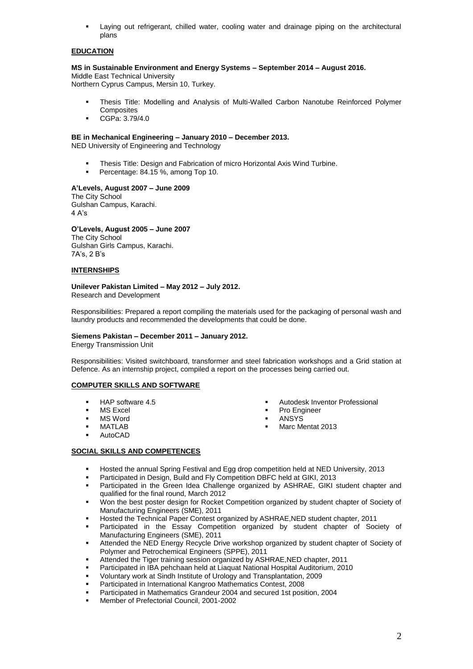Laying out refrigerant, chilled water, cooling water and drainage piping on the architectural plans

# **EDUCATION**

#### **MS in Sustainable Environment and Energy Systems – September 2014 – August 2016.**

Middle East Technical University Northern Cyprus Campus, Mersin 10, Turkey.

- Thesis Title: Modelling and Analysis of Multi-Walled Carbon Nanotube Reinforced Polymer **Composites**
- CGPa: 3.79/4.0

#### **BE in Mechanical Engineering – January 2010 – December 2013.**

NED University of Engineering and Technology

- Thesis Title: Design and Fabrication of micro Horizontal Axis Wind Turbine.
- Percentage: 84.15 %, among Top 10.

#### **A'Levels, August 2007 – June 2009**

The City School Gulshan Campus, Karachi. 4 A's

# **O'Levels, August 2005 – June 2007**

The City School Gulshan Girls Campus, Karachi. 7A's, 2 B's

# **INTERNSHIPS**

# **Unilever Pakistan Limited – May 2012 – July 2012.**

Research and Development

Responsibilities: Prepared a report compiling the materials used for the packaging of personal wash and laundry products and recommended the developments that could be done.

#### **Siemens Pakistan – December 2011 – January 2012.**

Energy Transmission Unit

Responsibilities: Visited switchboard, transformer and steel fabrication workshops and a Grid station at Defence. As an internship project, compiled a report on the processes being carried out.

# **COMPUTER SKILLS AND SOFTWARE**

- HAP software 4.5
- MS Excel
- MS Word
- MATLAB
- AutoCAD
- **Autodesk Inventor Professional**
- Pro Engineer
- ANSYS
- Marc Mentat 2013

# **SOCIAL SKILLS AND COMPETENCES**

- Hosted the annual Spring Festival and Egg drop competition held at NED University, 2013
- Participated in Design, Build and Fly Competition DBFC held at GIKI, 2013
- Participated in the Green Idea Challenge organized by ASHRAE, GIKI student chapter and qualified for the final round, March 2012
- Won the best poster design for Rocket Competition organized by student chapter of Society of Manufacturing Engineers (SME), 2011
- Hosted the Technical Paper Contest organized by ASHRAE,NED student chapter, 2011
- Participated in the Essay Competition organized by student chapter of Society of Manufacturing Engineers (SME), 2011
- Attended the NED Energy Recycle Drive workshop organized by student chapter of Society of Polymer and Petrochemical Engineers (SPPE), 2011
- Attended the Tiger training session organized by ASHRAE,NED chapter, 2011
- Participated in IBA pehchaan held at Liaquat National Hospital Auditorium, 2010
- Voluntary work at Sindh Institute of Urology and Transplantation, 2009
- Participated in International Kangroo Mathematics Contest, 2008
- Participated in Mathematics Grandeur 2004 and secured 1st position, 2004
- Member of Prefectorial Council, 2001-2002